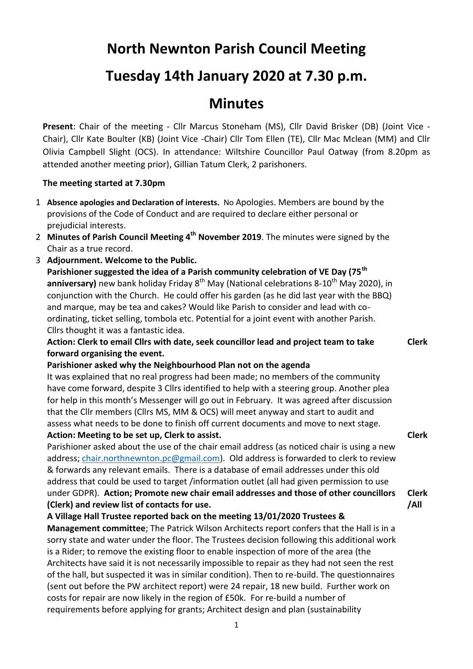# **North Newnton Parish Council Meeting**

## **Tuesday 14th January 2020 at 7.30 p.m.**

### **Minutes**

**Present**: Chair of the meeting - Cllr Marcus Stoneham (MS), Cllr David Brisker (DB) (Joint Vice - Chair), Cllr Kate Boulter (KB) (Joint Vice -Chair) Cllr Tom Ellen (TE), Cllr Mac Mclean (MM) and Cllr Olivia Campbell Slight (OCS). In attendance: Wiltshire Councillor Paul Oatway (from 8.20pm as attended another meeting prior), Gillian Tatum Clerk, 2 parishoners.

#### **The meeting started at 7.30pm**

- 1 **Absence apologies and Declaration of interests.** No Apologies. Members are bound by the provisions of the Code of Conduct and are required to declare either personal or prejudicial interests.
- 2 Minutes of Parish Council Meeting 4<sup>th</sup> November 2019. The minutes were signed by the Chair as a true record.
- 3 **Adjournment. Welcome to the Public.**

**Parishioner suggested the idea of a Parish community celebration of VE Day (75th anniversary)** new bank holiday Friday 8<sup>th</sup> May (National celebrations 8-10<sup>th</sup> May 2020), in conjunction with the Church. He could offer his garden (as he did last year with the BBQ) and marque, may be tea and cakes? Would like Parish to consider and lead with coordinating, ticket selling, tombola etc. Potential for a joint event with another Parish. Cllrs thought it was a fantastic idea.

**Action: Clerk to email Cllrs with date, seek councillor lead and project team to take forward organising the event.**

**Clerk**

**Clerk**

**Clerk /All**

#### **Parishioner asked why the Neighbourhood Plan not on the agenda**

It was explained that no real progress had been made; no members of the community have come forward, despite 3 Cllrs identified to help with a steering group. Another plea for help in this month's Messenger will go out in February. It was agreed after discussion that the Cllr members (Cllrs MS, MM & OCS) will meet anyway and start to audit and assess what needs to be done to finish off current documents and move to next stage. **Action: Meeting to be set up, Clerk to assist.**

Parishioner asked about the use of the chair email address (as noticed chair is using a new address; [chair.northnewnton.pc@gmail.com\)](mailto:chair.northnewnton.pc@gmail.com). Old address is forwarded to clerk to review & forwards any relevant emails. There is a database of email addresses under this old address that could be used to target /information outlet (all had given permission to use under GDPR). **Action; Promote new chair email addresses and those of other councillors (Clerk) and review list of contacts for use.**

**A Village Hall Trustee reported back on the meeting 13/01/2020 Trustees & Management committee**; The Patrick Wilson Architects report confers that the Hall is in a sorry state and water under the floor. The Trustees decision following this additional work is a Rider; to remove the existing floor to enable inspection of more of the area (the Architects have said it is not necessarily impossible to repair as they had not seen the rest of the hall, but suspected it was in similar condition). Then to re-build. The questionnaires (sent out before the PW architect report) were 24 repair, 18 new build. Further work on costs for repair are now likely in the region of £50k. For re-build a number of requirements before applying for grants; Architect design and plan (sustainability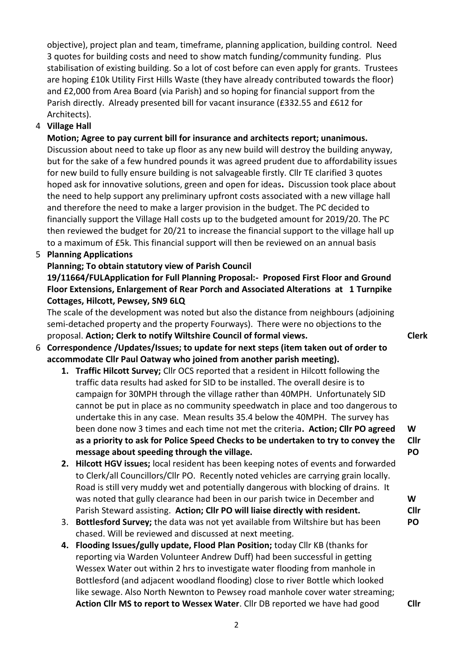objective), project plan and team, timeframe, planning application, building control. Need 3 quotes for building costs and need to show match funding/community funding. Plus stabilisation of existing building. So a lot of cost before can even apply for grants. Trustees are hoping £10k Utility First Hills Waste (they have already contributed towards the floor) and £2,000 from Area Board (via Parish) and so hoping for financial support from the Parish directly. Already presented bill for vacant insurance (£332.55 and £612 for Architects).

#### 4 **Village Hall**

**Motion; Agree to pay current bill for insurance and architects report; unanimous.**  Discussion about need to take up floor as any new build will destroy the building anyway, but for the sake of a few hundred pounds it was agreed prudent due to affordability issues for new build to fully ensure building is not salvageable firstly. Cllr TE clarified 3 quotes hoped ask for innovative solutions, green and open for ideas**.** Discussion took place about the need to help support any preliminary upfront costs associated with a new village hall and therefore the need to make a larger provision in the budget. The PC decided to financially support the Village Hall costs up to the budgeted amount for 2019/20. The PC then reviewed the budget for 20/21 to increase the financial support to the village hall up to a maximum of £5k. This financial support will then be reviewed on an annual basis

#### 5 **Planning Applications**

#### **Planning; To obtain statutory view of Parish Council**

#### **19/11664/FULApplication for Full Planning Proposal:- Proposed First Floor and Ground Floor Extensions, Enlargement of Rear Porch and Associated Alterations at 1 Turnpike Cottages, Hilcott, Pewsey, SN9 6LQ**

The scale of the development was noted but also the distance from neighbours (adjoining semi-detached property and the property Fourways). There were no objections to the proposal. **Action; Clerk to notify Wiltshire Council of formal views. Clerk**

#### 6 **Correspondence /Updates/Issues; to update for next steps (item taken out of order to accommodate Cllr Paul Oatway who joined from another parish meeting).**

- **1. Traffic Hilcott Survey;** Cllr OCS reported that a resident in Hilcott following the traffic data results had asked for SID to be installed. The overall desire is to campaign for 30MPH through the village rather than 40MPH. Unfortunately SID cannot be put in place as no community speedwatch in place and too dangerous to undertake this in any case. Mean results 35.4 below the 40MPH. The survey has been done now 3 times and each time not met the criteria**. Action; Cllr PO agreed as a priority to ask for Police Speed Checks to be undertaken to try to convey the message about speeding through the village.**
- **2. Hilcott HGV issues;** local resident has been keeping notes of events and forwarded to Clerk/all Councillors/Cllr PO. Recently noted vehicles are carrying grain locally. Road is still very muddy wet and potentially dangerous with blocking of drains. It was noted that gully clearance had been in our parish twice in December and Parish Steward assisting. **Action; Cllr PO will liaise directly with resident.**
- 3. **Bottlesford Survey;** the data was not yet available from Wiltshire but has been chased. Will be reviewed and discussed at next meeting. **PO**
- **4. Flooding Issues/gully update, Flood Plan Position;** today Cllr KB (thanks for reporting via Warden Volunteer Andrew Duff) had been successful in getting Wessex Water out within 2 hrs to investigate water flooding from manhole in Bottlesford (and adjacent woodland flooding) close to river Bottle which looked like sewage. Also North Newnton to Pewsey road manhole cover water streaming; **Action Cllr MS to report to Wessex Water**. Cllr DB reported we have had good

**Cllr** 

**W Cllr PO**

**W Cllr**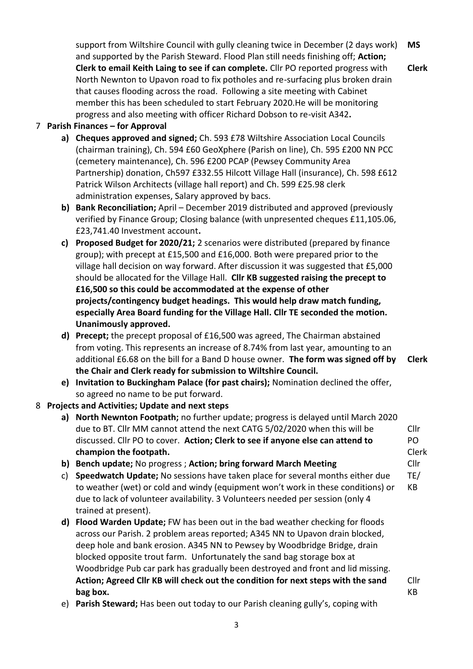support from Wiltshire Council with gully cleaning twice in December (2 days work) and supported by the Parish Steward. Flood Plan still needs finishing off; **Action; Clerk to email Keith Laing to see if can complete.** Cllr PO reported progress with North Newnton to Upavon road to fix potholes and re-surfacing plus broken drain that causes flooding across the road. Following a site meeting with Cabinet member this has been scheduled to start February 2020.He will be monitoring progress and also meeting with officer Richard Dobson to re-visit A342**. MS**

#### 7 **Parish Finances – for Approval**

- **a) Cheques approved and signed;** Ch. 593 £78 Wiltshire Association Local Councils (chairman training), Ch. 594 £60 GeoXphere (Parish on line), Ch. 595 £200 NN PCC (cemetery maintenance), Ch. 596 £200 PCAP (Pewsey Community Area Partnership) donation, Ch597 £332.55 Hilcott Village Hall (insurance), Ch. 598 £612 Patrick Wilson Architects (village hall report) and Ch. 599 £25.98 clerk administration expenses, Salary approved by bacs.
- **b) Bank Reconciliation;** April December 2019 distributed and approved (previously verified by Finance Group; Closing balance (with unpresented cheques £11,105.06, £23,741.40 Investment account**.**
- **c) Proposed Budget for 2020/21;** 2 scenarios were distributed (prepared by finance group); with precept at £15,500 and £16,000. Both were prepared prior to the village hall decision on way forward. After discussion it was suggested that £5,000 should be allocated for the Village Hall. **Cllr KB suggested raising the precept to £16,500 so this could be accommodated at the expense of other projects/contingency budget headings. This would help draw match funding, especially Area Board funding for the Village Hall. Cllr TE seconded the motion. Unanimously approved.**
- **d) Precept;** the precept proposal of £16,500 was agreed, The Chairman abstained from voting. This represents an increase of 8.74% from last year, amounting to an additional £6.68 on the bill for a Band D house owner. **The form was signed off by the Chair and Clerk ready for submission to Wiltshire Council. Clerk**
- **e) Invitation to Buckingham Palace (for past chairs);** Nomination declined the offer, so agreed no name to be put forward.

#### 8 **Projects and Activities; Update and next steps**

- **a) North Newnton Footpath;** no further update; progress is delayed until March 2020 due to BT. Cllr MM cannot attend the next CATG 5/02/2020 when this will be discussed. Cllr PO to cover. **Action; Clerk to see if anyone else can attend to champion the footpath.** Cllr
- **b) Bench update;** No progress ; **Action; bring forward March Meeting**
- c) **Speedwatch Update;** No sessions have taken place for several months either due to weather (wet) or cold and windy (equipment won't work in these conditions) or due to lack of volunteer availability. 3 Volunteers needed per session (only 4 trained at present). TE/ KB
- **d) Flood Warden Update;** FW has been out in the bad weather checking for floods across our Parish. 2 problem areas reported; A345 NN to Upavon drain blocked, deep hole and bank erosion. A345 NN to Pewsey by Woodbridge Bridge, drain blocked opposite trout farm. Unfortunately the sand bag storage box at Woodbridge Pub car park has gradually been destroyed and front and lid missing. **Action; Agreed Cllr KB will check out the condition for next steps with the sand bag box.**
- e) **Parish Steward;** Has been out today to our Parish cleaning gully's, coping with

**Clerk**

PO

Clerk Cllr

Cllr KB